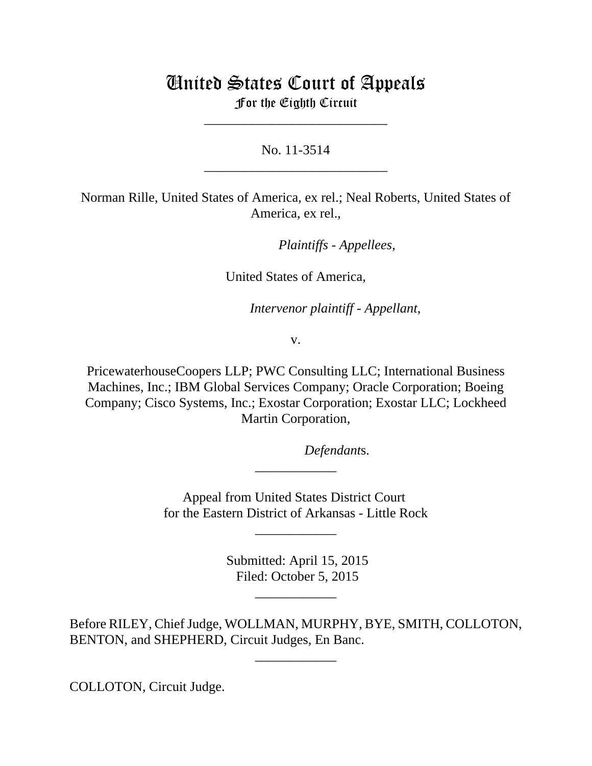## United States Court of Appeals For the Eighth Circuit

No. 11-3514 \_\_\_\_\_\_\_\_\_\_\_\_\_\_\_\_\_\_\_\_\_\_\_\_\_\_\_

\_\_\_\_\_\_\_\_\_\_\_\_\_\_\_\_\_\_\_\_\_\_\_\_\_\_\_

Norman Rille, United States of America, ex rel.; Neal Roberts, United States of America, ex rel.,

*Plaintiffs - Appellees,* 

United States of America,

Intervenor plaintiff - Appellant,

v.

PricewaterhouseCoopers LLP; PWC Consulting LLC; International Business Machines, Inc.; IBM Global Services Company; Oracle Corporation; Boeing Company; Cisco Systems, Inc.; Exostar Corporation; Exostar LLC; Lockheed Martin Corporation,

Defendants.

Appeal from United States District Court for the Eastern District of Arkansas - Little Rock

\_\_\_\_\_\_\_\_\_\_\_\_

\_\_\_\_\_\_\_\_\_\_\_\_

 Submitted: April 15, 2015 Filed: October 5, 2015

\_\_\_\_\_\_\_\_\_\_\_\_

Before RILEY, Chief Judge, WOLLMAN, MURPHY, BYE, SMITH, COLLOTON, BENTON, and SHEPHERD, Circuit Judges, En Banc.

\_\_\_\_\_\_\_\_\_\_\_\_

COLLOTON, Circuit Judge.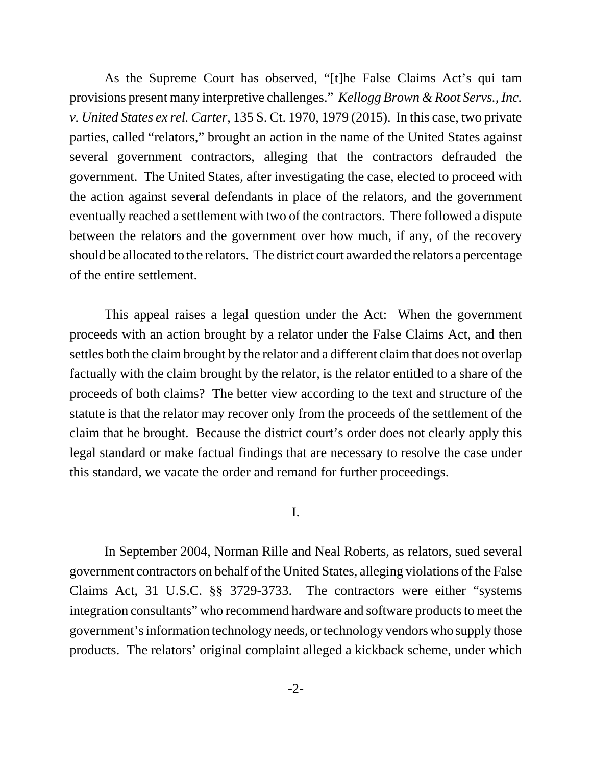As the Supreme Court has observed, "[t]he False Claims Act's qui tam provisions present many interpretive challenges." *Kellogg Brown & Root Servs., Inc. v. United States ex rel. Carter*, 135 S. Ct. 1970, 1979 (2015). In this case, two private parties, called "relators," brought an action in the name of the United States against several government contractors, alleging that the contractors defrauded the government. The United States, after investigating the case, elected to proceed with the action against several defendants in place of the relators, and the government eventually reached a settlement with two of the contractors. There followed a dispute between the relators and the government over how much, if any, of the recovery should be allocated to the relators. The district court awarded the relators a percentage of the entire settlement.

This appeal raises a legal question under the Act: When the government proceeds with an action brought by a relator under the False Claims Act, and then settles both the claim brought by the relator and a different claim that does not overlap factually with the claim brought by the relator, is the relator entitled to a share of the proceeds of both claims? The better view according to the text and structure of the statute is that the relator may recover only from the proceeds of the settlement of the claim that he brought. Because the district court's order does not clearly apply this legal standard or make factual findings that are necessary to resolve the case under this standard, we vacate the order and remand for further proceedings.

I.

In September 2004, Norman Rille and Neal Roberts, as relators, sued several government contractors on behalf of the United States, alleging violations of the False Claims Act, 31 U.S.C. §§ 3729-3733. The contractors were either "systems integration consultants" who recommend hardware and software products to meet the government's information technology needs, or technology vendors who supply those products. The relators' original complaint alleged a kickback scheme, under which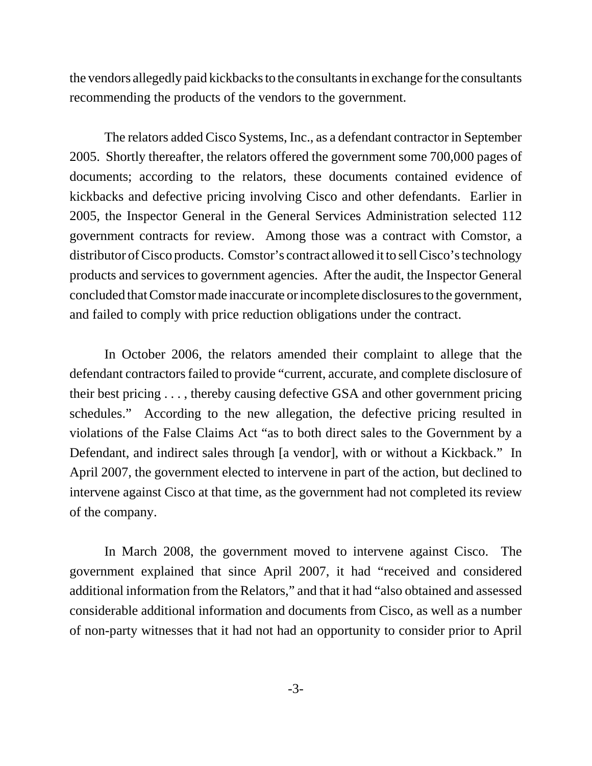the vendors allegedly paid kickbacks to the consultants in exchange for the consultants recommending the products of the vendors to the government.

The relators added Cisco Systems, Inc., as a defendant contractor in September 2005. Shortly thereafter, the relators offered the government some 700,000 pages of documents; according to the relators, these documents contained evidence of kickbacks and defective pricing involving Cisco and other defendants. Earlier in 2005, the Inspector General in the General Services Administration selected 112 government contracts for review. Among those was a contract with Comstor, a distributor of Cisco products. Comstor's contract allowed it to sell Cisco's technology products and services to government agencies. After the audit, the Inspector General concluded that Comstor made inaccurate or incomplete disclosures to the government, and failed to comply with price reduction obligations under the contract.

In October 2006, the relators amended their complaint to allege that the defendant contractors failed to provide "current, accurate, and complete disclosure of their best pricing . . . , thereby causing defective GSA and other government pricing schedules." According to the new allegation, the defective pricing resulted in violations of the False Claims Act "as to both direct sales to the Government by a Defendant, and indirect sales through [a vendor], with or without a Kickback." In April 2007, the government elected to intervene in part of the action, but declined to intervene against Cisco at that time, as the government had not completed its review of the company.

In March 2008, the government moved to intervene against Cisco. The government explained that since April 2007, it had "received and considered additional information from the Relators," and that it had "also obtained and assessed considerable additional information and documents from Cisco, as well as a number of non-party witnesses that it had not had an opportunity to consider prior to April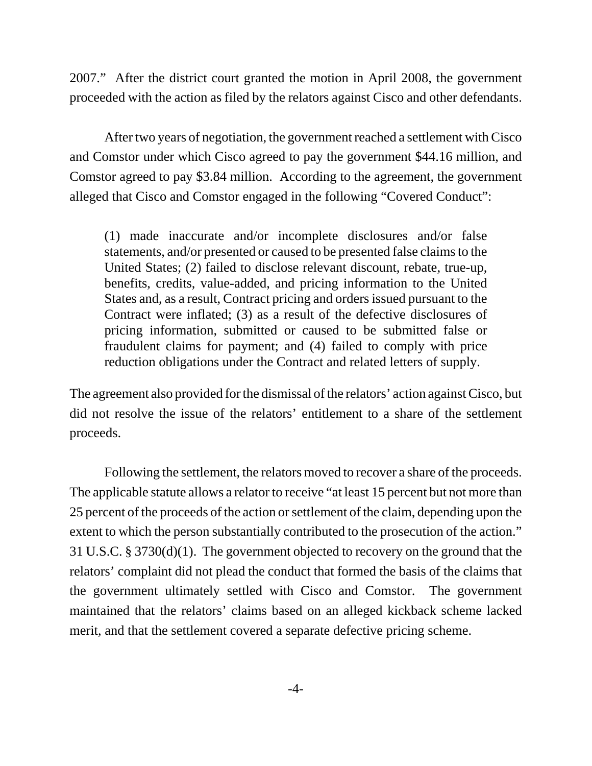2007." After the district court granted the motion in April 2008, the government proceeded with the action as filed by the relators against Cisco and other defendants.

After two years of negotiation, the government reached a settlement with Cisco and Comstor under which Cisco agreed to pay the government \$44.16 million, and Comstor agreed to pay \$3.84 million. According to the agreement, the government alleged that Cisco and Comstor engaged in the following "Covered Conduct":

(1) made inaccurate and/or incomplete disclosures and/or false statements, and/or presented or caused to be presented false claims to the United States; (2) failed to disclose relevant discount, rebate, true-up, benefits, credits, value-added, and pricing information to the United States and, as a result, Contract pricing and orders issued pursuant to the Contract were inflated; (3) as a result of the defective disclosures of pricing information, submitted or caused to be submitted false or fraudulent claims for payment; and (4) failed to comply with price reduction obligations under the Contract and related letters of supply.

The agreement also provided for the dismissal of the relators' action against Cisco, but did not resolve the issue of the relators' entitlement to a share of the settlement proceeds.

Following the settlement, the relators moved to recover a share of the proceeds. The applicable statute allows a relator to receive "at least 15 percent but not more than 25 percent of the proceeds of the action or settlement of the claim, depending upon the extent to which the person substantially contributed to the prosecution of the action." 31 U.S.C. § 3730(d)(1). The government objected to recovery on the ground that the relators' complaint did not plead the conduct that formed the basis of the claims that the government ultimately settled with Cisco and Comstor. The government maintained that the relators' claims based on an alleged kickback scheme lacked merit, and that the settlement covered a separate defective pricing scheme.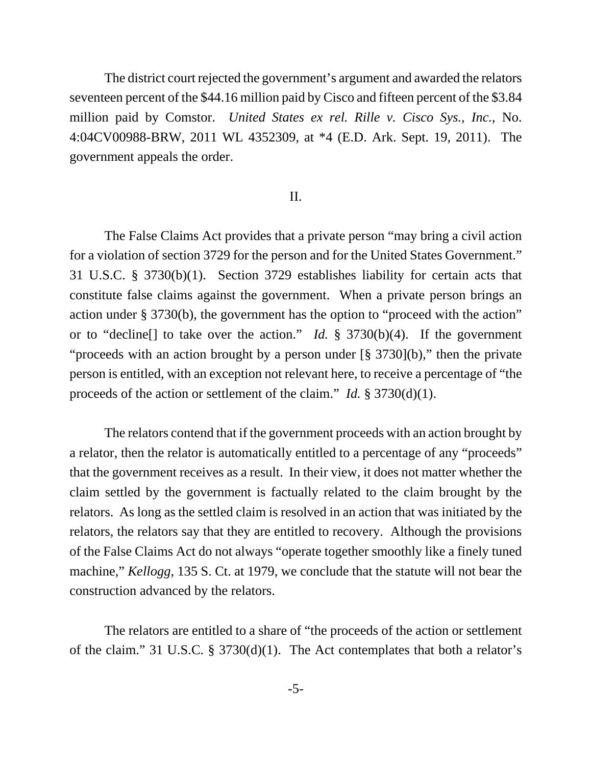The district court rejected the government's argument and awarded the relators seventeen percent of the \$44.16 million paid by Cisco and fifteen percent of the \$3.84 million paid by Comstor. *United States ex rel. Rille v. Cisco Sys., Inc.*, No. 4:04CV00988-BRW, 2011 WL 4352309, at \*4 (E.D. Ark. Sept. 19, 2011). The government appeals the order.

## II.

The False Claims Act provides that a private person "may bring a civil action for a violation of section 3729 for the person and for the United States Government." 31 U.S.C. § 3730(b)(1). Section 3729 establishes liability for certain acts that constitute false claims against the government. When a private person brings an action under § 3730(b), the government has the option to "proceed with the action" or to "decline[] to take over the action." *Id.* § 3730(b)(4). If the government "proceeds with an action brought by a person under [§ 3730](b)," then the private person is entitled, with an exception not relevant here, to receive a percentage of "the proceeds of the action or settlement of the claim." *Id.* § 3730(d)(1).

The relators contend that if the government proceeds with an action brought by a relator, then the relator is automatically entitled to a percentage of any "proceeds" that the government receives as a result. In their view, it does not matter whether the claim settled by the government is factually related to the claim brought by the relators. As long as the settled claim is resolved in an action that was initiated by the relators, the relators say that they are entitled to recovery. Although the provisions of the False Claims Act do not always "operate together smoothly like a finely tuned machine," *Kellogg*, 135 S. Ct. at 1979, we conclude that the statute will not bear the construction advanced by the relators.

The relators are entitled to a share of "the proceeds of the action or settlement of the claim." 31 U.S.C. § 3730(d)(1). The Act contemplates that both a relator's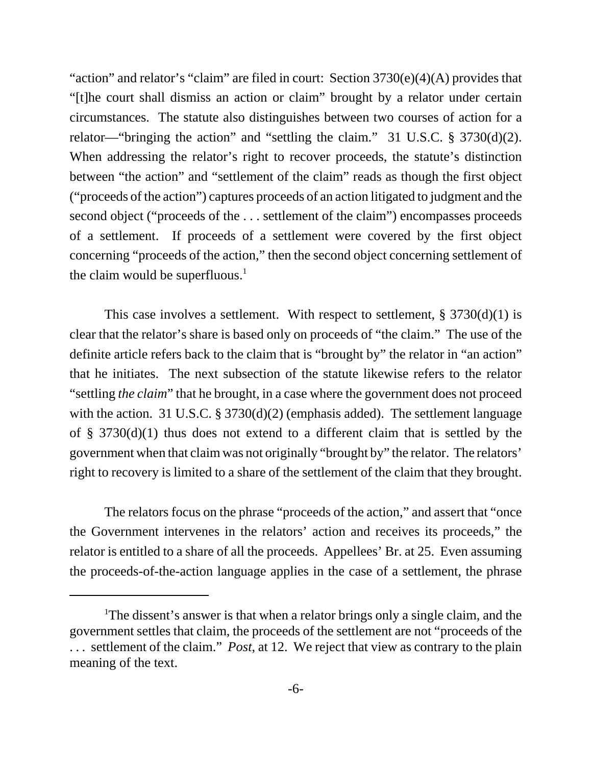"action" and relator's "claim" are filed in court: Section  $3730(e)(4)(A)$  provides that "[t]he court shall dismiss an action or claim" brought by a relator under certain circumstances. The statute also distinguishes between two courses of action for a relator—"bringing the action" and "settling the claim." 31 U.S.C. § 3730(d)(2). When addressing the relator's right to recover proceeds, the statute's distinction between "the action" and "settlement of the claim" reads as though the first object ("proceeds of the action") captures proceeds of an action litigated to judgment and the second object ("proceeds of the . . . settlement of the claim") encompasses proceeds of a settlement. If proceeds of a settlement were covered by the first object concerning "proceeds of the action," then the second object concerning settlement of the claim would be superfluous. $<sup>1</sup>$ </sup>

This case involves a settlement. With respect to settlement,  $\S 3730(d)(1)$  is clear that the relator's share is based only on proceeds of "the claim." The use of the definite article refers back to the claim that is "brought by" the relator in "an action" that he initiates. The next subsection of the statute likewise refers to the relator "settling *the claim*" that he brought, in a case where the government does not proceed with the action. 31 U.S.C. § 3730(d)(2) (emphasis added). The settlement language of § 3730(d)(1) thus does not extend to a different claim that is settled by the government when that claim was not originally "brought by" the relator. The relators' right to recovery is limited to a share of the settlement of the claim that they brought.

The relators focus on the phrase "proceeds of the action," and assert that "once the Government intervenes in the relators' action and receives its proceeds," the relator is entitled to a share of all the proceeds. Appellees' Br. at 25. Even assuming the proceeds-of-the-action language applies in the case of a settlement, the phrase

<sup>&</sup>lt;sup>1</sup>The dissent's answer is that when a relator brings only a single claim, and the government settles that claim, the proceeds of the settlement are not "proceeds of the . . . settlement of the claim." *Post*, at 12. We reject that view as contrary to the plain meaning of the text.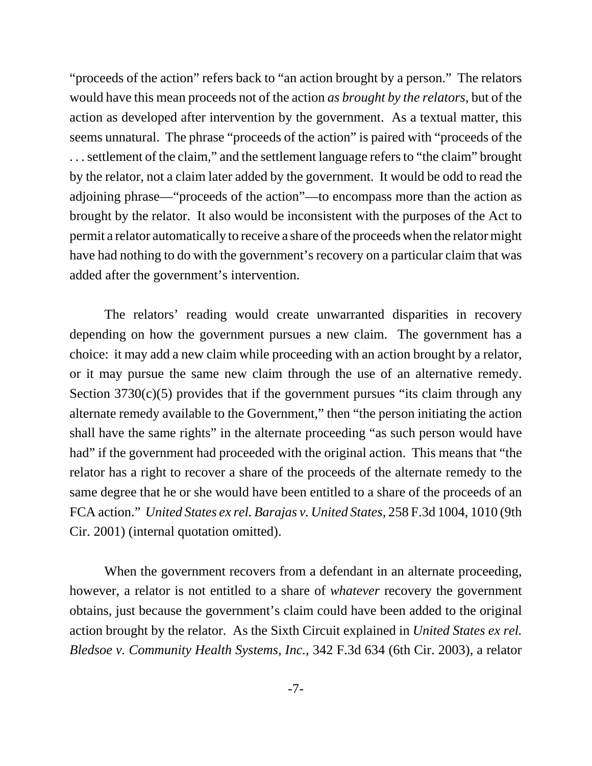"proceeds of the action" refers back to "an action brought by a person." The relators would have this mean proceeds not of the action *as brought by the relators*, but of the action as developed after intervention by the government. As a textual matter, this seems unnatural. The phrase "proceeds of the action" is paired with "proceeds of the . . . settlement of the claim," and the settlement language refers to "the claim" brought by the relator, not a claim later added by the government. It would be odd to read the adjoining phrase—"proceeds of the action"—to encompass more than the action as brought by the relator. It also would be inconsistent with the purposes of the Act to permit a relator automatically to receive a share of the proceeds when the relator might have had nothing to do with the government's recovery on a particular claim that was added after the government's intervention.

The relators' reading would create unwarranted disparities in recovery depending on how the government pursues a new claim. The government has a choice: it may add a new claim while proceeding with an action brought by a relator, or it may pursue the same new claim through the use of an alternative remedy. Section  $3730(c)(5)$  provides that if the government pursues "its claim through any alternate remedy available to the Government," then "the person initiating the action shall have the same rights" in the alternate proceeding "as such person would have had" if the government had proceeded with the original action. This means that "the relator has a right to recover a share of the proceeds of the alternate remedy to the same degree that he or she would have been entitled to a share of the proceeds of an FCA action." *United States ex rel. Barajas v. United States*, 258 F.3d 1004, 1010 (9th Cir. 2001) (internal quotation omitted).

When the government recovers from a defendant in an alternate proceeding, however, a relator is not entitled to a share of *whatever* recovery the government obtains, just because the government's claim could have been added to the original action brought by the relator. As the Sixth Circuit explained in *United States ex rel. Bledsoe v. Community Health Systems, Inc.*, 342 F.3d 634 (6th Cir. 2003), a relator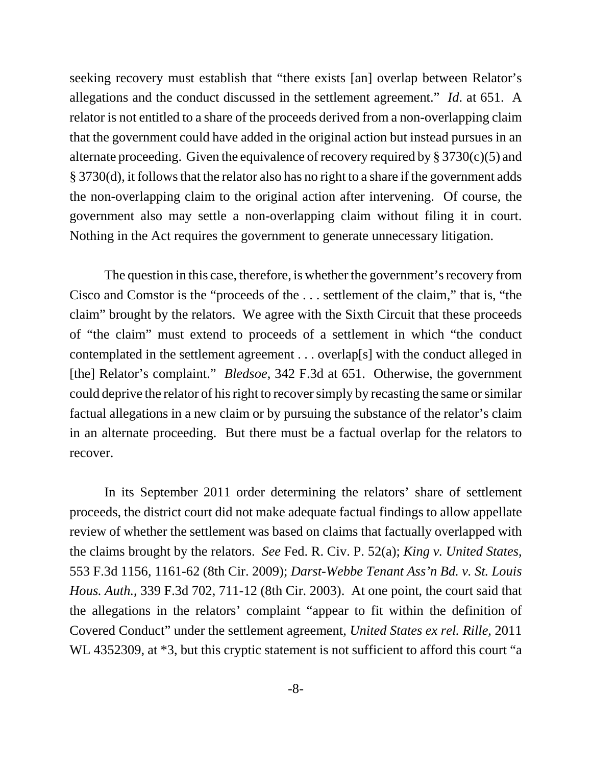seeking recovery must establish that "there exists [an] overlap between Relator's allegations and the conduct discussed in the settlement agreement." *Id*. at 651. A relator is not entitled to a share of the proceeds derived from a non-overlapping claim that the government could have added in the original action but instead pursues in an alternate proceeding. Given the equivalence of recovery required by  $\S 3730(c)(5)$  and § 3730(d), it follows that the relator also has no right to a share if the government adds the non-overlapping claim to the original action after intervening. Of course, the government also may settle a non-overlapping claim without filing it in court. Nothing in the Act requires the government to generate unnecessary litigation.

The question in this case, therefore, is whether the government's recovery from Cisco and Comstor is the "proceeds of the . . . settlement of the claim," that is, "the claim" brought by the relators. We agree with the Sixth Circuit that these proceeds of "the claim" must extend to proceeds of a settlement in which "the conduct contemplated in the settlement agreement . . . overlap[s] with the conduct alleged in [the] Relator's complaint." *Bledsoe*, 342 F.3d at 651. Otherwise, the government could deprive the relator of his right to recover simply by recasting the same or similar factual allegations in a new claim or by pursuing the substance of the relator's claim in an alternate proceeding. But there must be a factual overlap for the relators to recover.

In its September 2011 order determining the relators' share of settlement proceeds, the district court did not make adequate factual findings to allow appellate review of whether the settlement was based on claims that factually overlapped with the claims brought by the relators. *See* Fed. R. Civ. P. 52(a); *King v. United States*, 553 F.3d 1156, 1161-62 (8th Cir. 2009); *Darst-Webbe Tenant Ass'n Bd. v. St. Louis Hous. Auth.*, 339 F.3d 702, 711-12 (8th Cir. 2003). At one point, the court said that the allegations in the relators' complaint "appear to fit within the definition of Covered Conduct" under the settlement agreement, *United States ex rel. Rille*, 2011 WL 4352309, at  $*3$ , but this cryptic statement is not sufficient to afford this court "a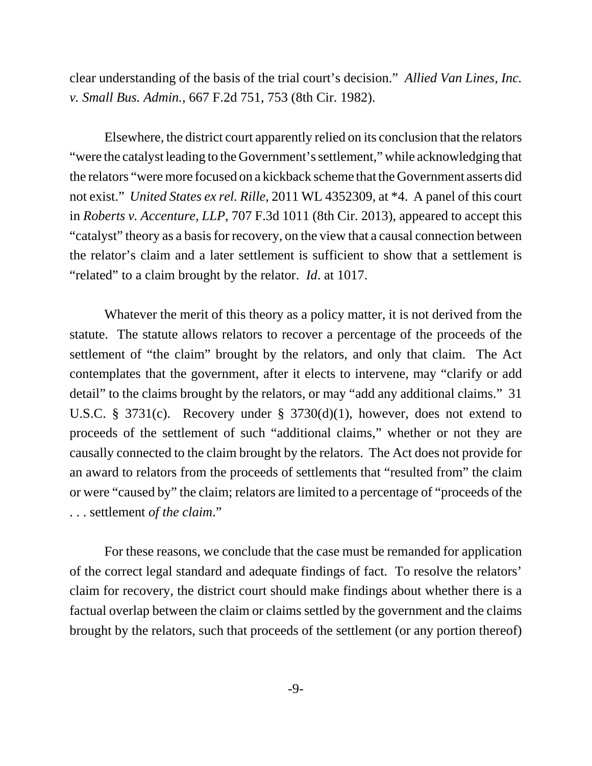clear understanding of the basis of the trial court's decision." *Allied Van Lines, Inc. v. Small Bus. Admin.*, 667 F.2d 751, 753 (8th Cir. 1982).

Elsewhere, the district court apparently relied on its conclusion that the relators "were the catalyst leading to the Government's settlement," while acknowledging that the relators "were more focused on a kickback scheme that the Government asserts did not exist." *United States ex rel. Rille*, 2011 WL 4352309, at \*4. A panel of this court in *Roberts v. Accenture, LLP*, 707 F.3d 1011 (8th Cir. 2013), appeared to accept this "catalyst" theory as a basis for recovery, on the view that a causal connection between the relator's claim and a later settlement is sufficient to show that a settlement is "related" to a claim brought by the relator. *Id*. at 1017.

Whatever the merit of this theory as a policy matter, it is not derived from the statute. The statute allows relators to recover a percentage of the proceeds of the settlement of "the claim" brought by the relators, and only that claim. The Act contemplates that the government, after it elects to intervene, may "clarify or add detail" to the claims brought by the relators, or may "add any additional claims." 31 U.S.C. § 3731(c). Recovery under § 3730(d)(1), however, does not extend to proceeds of the settlement of such "additional claims," whether or not they are causally connected to the claim brought by the relators. The Act does not provide for an award to relators from the proceeds of settlements that "resulted from" the claim or were "caused by" the claim; relators are limited to a percentage of "proceeds of the . . . settlement *of the claim*."

For these reasons, we conclude that the case must be remanded for application of the correct legal standard and adequate findings of fact. To resolve the relators' claim for recovery, the district court should make findings about whether there is a factual overlap between the claim or claims settled by the government and the claims brought by the relators, such that proceeds of the settlement (or any portion thereof)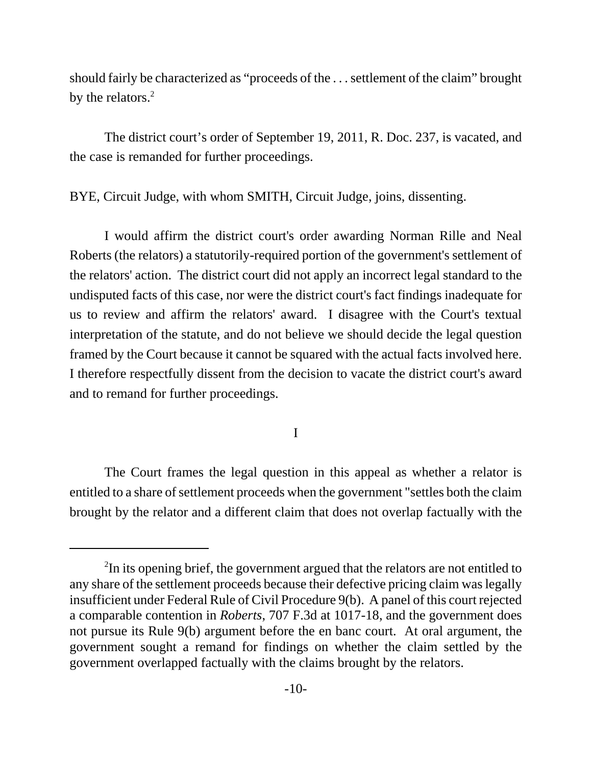should fairly be characterized as "proceeds of the . . . settlement of the claim" brought by the relators.<sup>2</sup>

The district court's order of September 19, 2011, R. Doc. 237, is vacated, and the case is remanded for further proceedings.

BYE, Circuit Judge, with whom SMITH, Circuit Judge, joins, dissenting.

I would affirm the district court's order awarding Norman Rille and Neal Roberts (the relators) a statutorily-required portion of the government's settlement of the relators' action. The district court did not apply an incorrect legal standard to the undisputed facts of this case, nor were the district court's fact findings inadequate for us to review and affirm the relators' award. I disagree with the Court's textual interpretation of the statute, and do not believe we should decide the legal question framed by the Court because it cannot be squared with the actual facts involved here. I therefore respectfully dissent from the decision to vacate the district court's award and to remand for further proceedings.

I

The Court frames the legal question in this appeal as whether a relator is entitled to a share of settlement proceeds when the government "settles both the claim brought by the relator and a different claim that does not overlap factually with the

<sup>&</sup>lt;sup>2</sup>In its opening brief, the government argued that the relators are not entitled to any share of the settlement proceeds because their defective pricing claim was legally insufficient under Federal Rule of Civil Procedure 9(b). A panel of this court rejected a comparable contention in *Roberts*, 707 F.3d at 1017-18, and the government does not pursue its Rule 9(b) argument before the en banc court. At oral argument, the government sought a remand for findings on whether the claim settled by the government overlapped factually with the claims brought by the relators.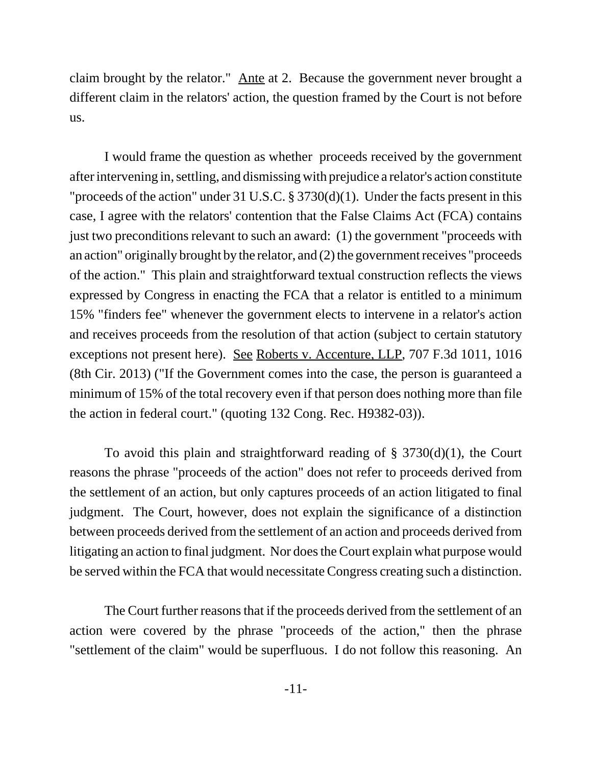claim brought by the relator." Ante at 2. Because the government never brought a different claim in the relators' action, the question framed by the Court is not before us.

I would frame the question as whether proceeds received by the government after intervening in, settling, and dismissing with prejudice a relator's action constitute "proceeds of the action" under 31 U.S.C. § 3730(d)(1). Under the facts present in this case, I agree with the relators' contention that the False Claims Act (FCA) contains just two preconditions relevant to such an award: (1) the government "proceeds with an action" originally brought by the relator, and (2) the government receives "proceeds of the action." This plain and straightforward textual construction reflects the views expressed by Congress in enacting the FCA that a relator is entitled to a minimum 15% "finders fee" whenever the government elects to intervene in a relator's action and receives proceeds from the resolution of that action (subject to certain statutory exceptions not present here). See Roberts v. Accenture, LLP, 707 F.3d 1011, 1016 (8th Cir. 2013) ("If the Government comes into the case, the person is guaranteed a minimum of 15% of the total recovery even if that person does nothing more than file the action in federal court." (quoting 132 Cong. Rec. H9382-03)).

To avoid this plain and straightforward reading of  $\S$  3730(d)(1), the Court reasons the phrase "proceeds of the action" does not refer to proceeds derived from the settlement of an action, but only captures proceeds of an action litigated to final judgment. The Court, however, does not explain the significance of a distinction between proceeds derived from the settlement of an action and proceeds derived from litigating an action to final judgment. Nor does the Court explain what purpose would be served within the FCA that would necessitate Congress creating such a distinction.

The Court further reasons that if the proceeds derived from the settlement of an action were covered by the phrase "proceeds of the action," then the phrase "settlement of the claim" would be superfluous. I do not follow this reasoning. An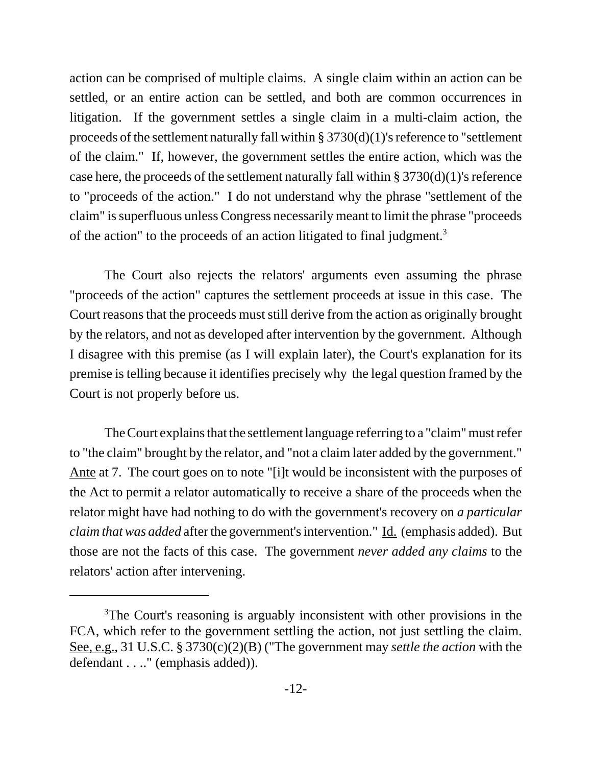action can be comprised of multiple claims. A single claim within an action can be settled, or an entire action can be settled, and both are common occurrences in litigation. If the government settles a single claim in a multi-claim action, the proceeds of the settlement naturally fall within § 3730(d)(1)'s reference to "settlement of the claim." If, however, the government settles the entire action, which was the case here, the proceeds of the settlement naturally fall within  $\S 3730(d)(1)$ 's reference to "proceeds of the action." I do not understand why the phrase "settlement of the claim" is superfluous unless Congress necessarily meant to limit the phrase "proceeds of the action" to the proceeds of an action litigated to final judgment.<sup>3</sup>

The Court also rejects the relators' arguments even assuming the phrase "proceeds of the action" captures the settlement proceeds at issue in this case. The Court reasons that the proceeds must still derive from the action as originally brought by the relators, and not as developed after intervention by the government. Although I disagree with this premise (as I will explain later), the Court's explanation for its premise is telling because it identifies precisely why the legal question framed by the Court is not properly before us.

The Court explains that the settlement language referring to a "claim" must refer to "the claim" brought by the relator, and "not a claim later added by the government." Ante at 7. The court goes on to note "[i]t would be inconsistent with the purposes of the Act to permit a relator automatically to receive a share of the proceeds when the relator might have had nothing to do with the government's recovery on *a particular claim that was added* after the government's intervention." Id. (emphasis added). But those are not the facts of this case. The government *never added any claims* to the relators' action after intervening.

<sup>&</sup>lt;sup>3</sup>The Court's reasoning is arguably inconsistent with other provisions in the FCA, which refer to the government settling the action, not just settling the claim. See, e.g., 31 U.S.C. § 3730(c)(2)(B) ("The government may *settle the action* with the defendant . . .." (emphasis added)).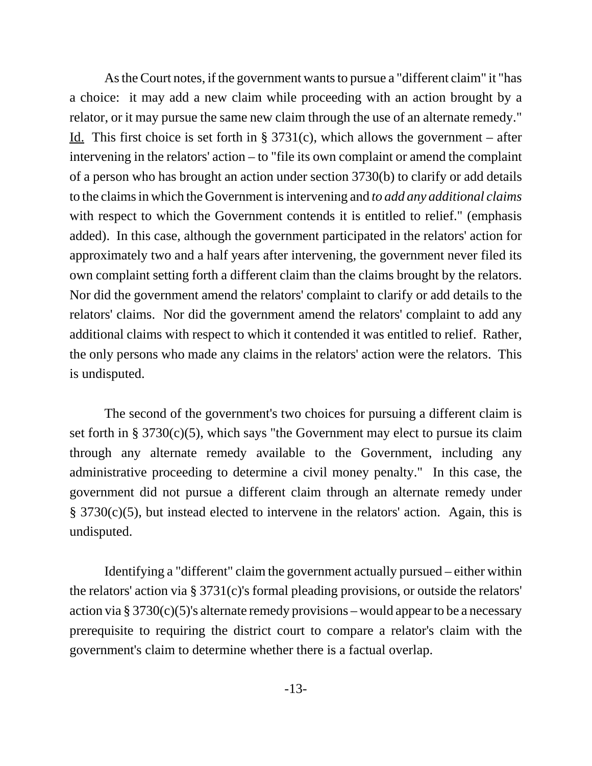As the Court notes, if the government wants to pursue a "different claim" it "has a choice: it may add a new claim while proceeding with an action brought by a relator, or it may pursue the same new claim through the use of an alternate remedy." <u>Id.</u> This first choice is set forth in § 3731(c), which allows the government – after intervening in the relators' action – to "file its own complaint or amend the complaint of a person who has brought an action under section 3730(b) to clarify or add details to the claims in which the Government is intervening and *to add any additional claims* with respect to which the Government contends it is entitled to relief." (emphasis added). In this case, although the government participated in the relators' action for approximately two and a half years after intervening, the government never filed its own complaint setting forth a different claim than the claims brought by the relators. Nor did the government amend the relators' complaint to clarify or add details to the relators' claims. Nor did the government amend the relators' complaint to add any additional claims with respect to which it contended it was entitled to relief. Rather, the only persons who made any claims in the relators' action were the relators. This is undisputed.

The second of the government's two choices for pursuing a different claim is set forth in §  $3730(c)(5)$ , which says "the Government may elect to pursue its claim through any alternate remedy available to the Government, including any administrative proceeding to determine a civil money penalty." In this case, the government did not pursue a different claim through an alternate remedy under § 3730(c)(5), but instead elected to intervene in the relators' action. Again, this is undisputed.

Identifying a "different" claim the government actually pursued – either within the relators' action via § 3731(c)'s formal pleading provisions, or outside the relators' action via  $\S 3730(c)(5)$ 's alternate remedy provisions – would appear to be a necessary prerequisite to requiring the district court to compare a relator's claim with the government's claim to determine whether there is a factual overlap.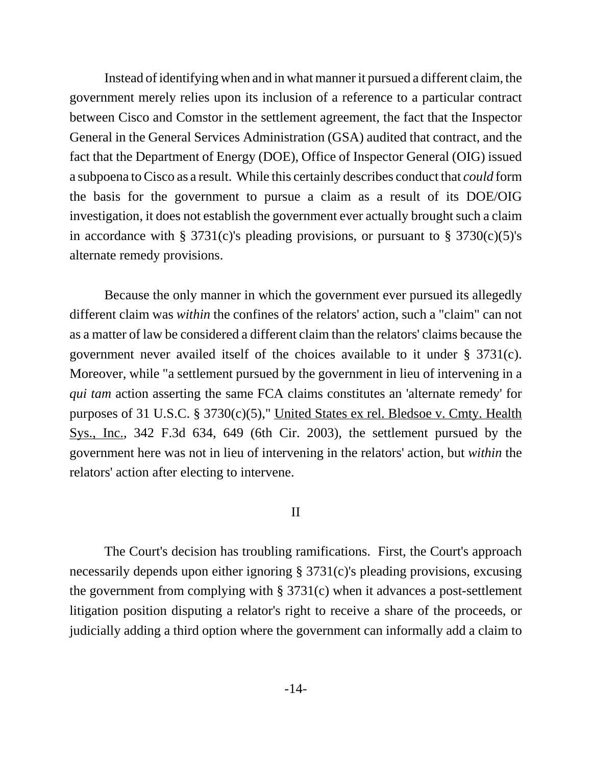Instead of identifying when and in what manner it pursued a different claim, the government merely relies upon its inclusion of a reference to a particular contract between Cisco and Comstor in the settlement agreement, the fact that the Inspector General in the General Services Administration (GSA) audited that contract, and the fact that the Department of Energy (DOE), Office of Inspector General (OIG) issued a subpoena to Cisco as a result. While this certainly describes conduct that *could* form the basis for the government to pursue a claim as a result of its DOE/OIG investigation, it does not establish the government ever actually brought such a claim in accordance with § 3731(c)'s pleading provisions, or pursuant to § 3730(c)(5)'s alternate remedy provisions.

Because the only manner in which the government ever pursued its allegedly different claim was *within* the confines of the relators' action, such a "claim" can not as a matter of law be considered a different claim than the relators' claims because the government never availed itself of the choices available to it under § 3731(c). Moreover, while "a settlement pursued by the government in lieu of intervening in a *qui tam* action asserting the same FCA claims constitutes an 'alternate remedy' for purposes of 31 U.S.C. § 3730(c)(5)," United States ex rel. Bledsoe v. Cmty. Health Sys., Inc., 342 F.3d 634, 649 (6th Cir. 2003), the settlement pursued by the government here was not in lieu of intervening in the relators' action, but *within* the relators' action after electing to intervene.

## II

The Court's decision has troubling ramifications. First, the Court's approach necessarily depends upon either ignoring § 3731(c)'s pleading provisions, excusing the government from complying with § 3731(c) when it advances a post-settlement litigation position disputing a relator's right to receive a share of the proceeds, or judicially adding a third option where the government can informally add a claim to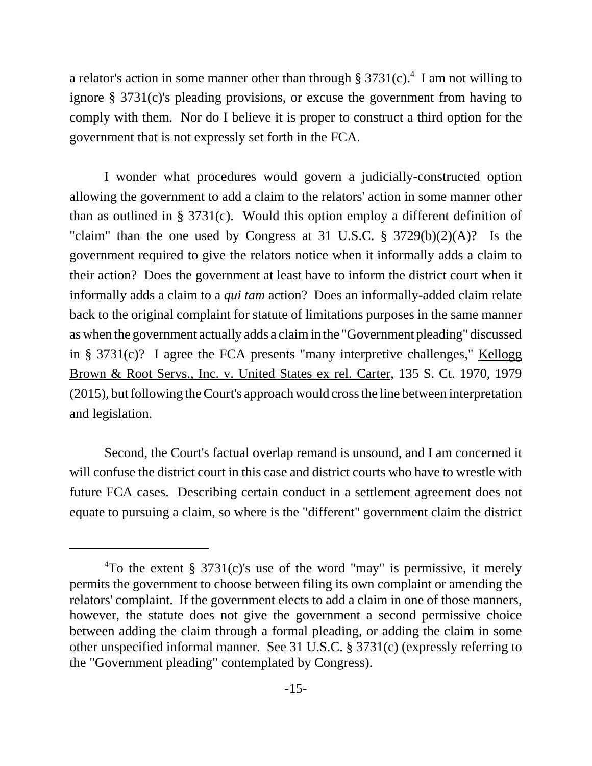a relator's action in some manner other than through  $\S 3731(c)$ .<sup>4</sup> I am not willing to ignore § 3731(c)'s pleading provisions, or excuse the government from having to comply with them. Nor do I believe it is proper to construct a third option for the government that is not expressly set forth in the FCA.

I wonder what procedures would govern a judicially-constructed option allowing the government to add a claim to the relators' action in some manner other than as outlined in § 3731(c). Would this option employ a different definition of "claim" than the one used by Congress at 31 U.S.C.  $\S$  3729(b)(2)(A)? Is the government required to give the relators notice when it informally adds a claim to their action? Does the government at least have to inform the district court when it informally adds a claim to a *qui tam* action? Does an informally-added claim relate back to the original complaint for statute of limitations purposes in the same manner as when the government actually adds a claim in the "Government pleading" discussed in §  $3731(c)$ ? I agree the FCA presents "many interpretive challenges," Kellogg Brown & Root Servs., Inc. v. United States ex rel. Carter, 135 S. Ct. 1970, 1979 (2015), but following the Court's approach would cross the line between interpretation and legislation.

Second, the Court's factual overlap remand is unsound, and I am concerned it will confuse the district court in this case and district courts who have to wrestle with future FCA cases. Describing certain conduct in a settlement agreement does not equate to pursuing a claim, so where is the "different" government claim the district

<sup>&</sup>lt;sup>4</sup>To the extent § 3731(c)'s use of the word "may" is permissive, it merely permits the government to choose between filing its own complaint or amending the relators' complaint. If the government elects to add a claim in one of those manners, however, the statute does not give the government a second permissive choice between adding the claim through a formal pleading, or adding the claim in some other unspecified informal manner. See 31 U.S.C. § 3731(c) (expressly referring to the "Government pleading" contemplated by Congress).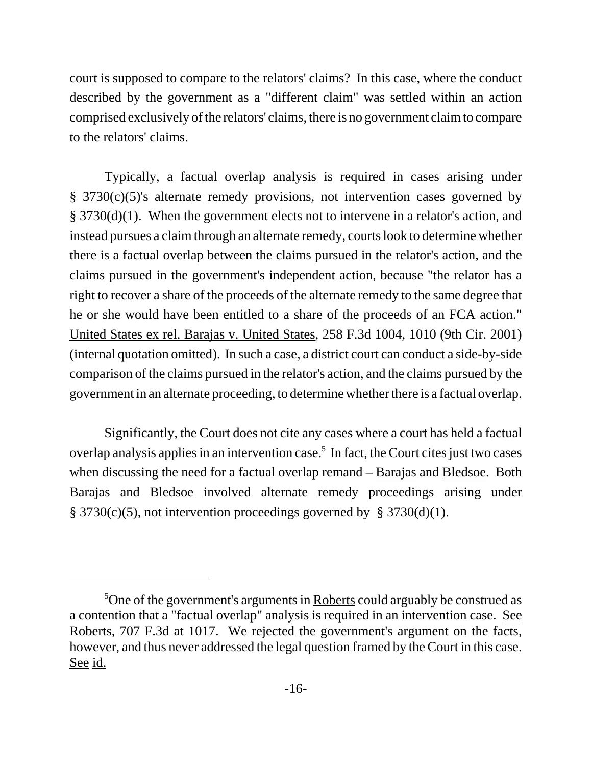court is supposed to compare to the relators' claims? In this case, where the conduct described by the government as a "different claim" was settled within an action comprised exclusively of the relators' claims, there is no government claim to compare to the relators' claims.

Typically, a factual overlap analysis is required in cases arising under § 3730(c)(5)'s alternate remedy provisions, not intervention cases governed by § 3730(d)(1). When the government elects not to intervene in a relator's action, and instead pursues a claim through an alternate remedy, courts look to determine whether there is a factual overlap between the claims pursued in the relator's action, and the claims pursued in the government's independent action, because "the relator has a right to recover a share of the proceeds of the alternate remedy to the same degree that he or she would have been entitled to a share of the proceeds of an FCA action." United States ex rel. Barajas v. United States, 258 F.3d 1004, 1010 (9th Cir. 2001) (internal quotation omitted). In such a case, a district court can conduct a side-by-side comparison of the claims pursued in the relator's action, and the claims pursued by the government in an alternate proceeding, to determine whether there is a factual overlap.

Significantly, the Court does not cite any cases where a court has held a factual overlap analysis applies in an intervention case.<sup>5</sup> In fact, the Court cites just two cases when discussing the need for a factual overlap remand – **Barajas and Bledsoe.** Both Barajas and Bledsoe involved alternate remedy proceedings arising under § 3730(c)(5), not intervention proceedings governed by § 3730(d)(1).

<sup>&</sup>lt;sup>5</sup>One of the government's arguments in Roberts could arguably be construed as a contention that a "factual overlap" analysis is required in an intervention case. See Roberts, 707 F.3d at 1017. We rejected the government's argument on the facts, however, and thus never addressed the legal question framed by the Court in this case. See id.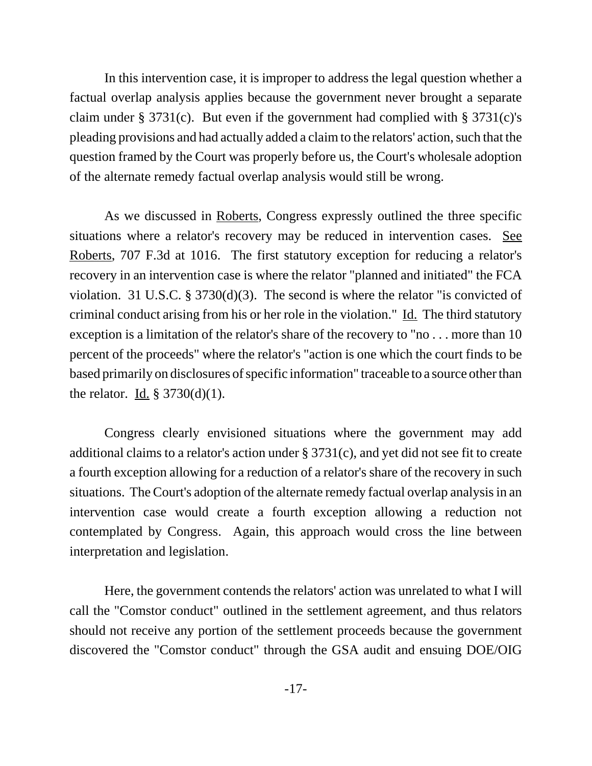In this intervention case, it is improper to address the legal question whether a factual overlap analysis applies because the government never brought a separate claim under § 3731(c). But even if the government had complied with § 3731(c)'s pleading provisions and had actually added a claim to the relators' action, such that the question framed by the Court was properly before us, the Court's wholesale adoption of the alternate remedy factual overlap analysis would still be wrong.

As we discussed in Roberts, Congress expressly outlined the three specific situations where a relator's recovery may be reduced in intervention cases. See Roberts, 707 F.3d at 1016. The first statutory exception for reducing a relator's recovery in an intervention case is where the relator "planned and initiated" the FCA violation. 31 U.S.C. § 3730(d)(3). The second is where the relator "is convicted of criminal conduct arising from his or her role in the violation." Id. The third statutory exception is a limitation of the relator's share of the recovery to "no . . . more than 10 percent of the proceeds" where the relator's "action is one which the court finds to be based primarily on disclosures of specific information" traceable to a source other than the relator. Id.  $\S 3730(d)(1)$ .

Congress clearly envisioned situations where the government may add additional claims to a relator's action under § 3731(c), and yet did not see fit to create a fourth exception allowing for a reduction of a relator's share of the recovery in such situations. The Court's adoption of the alternate remedy factual overlap analysis in an intervention case would create a fourth exception allowing a reduction not contemplated by Congress. Again, this approach would cross the line between interpretation and legislation.

Here, the government contends the relators' action was unrelated to what I will call the "Comstor conduct" outlined in the settlement agreement, and thus relators should not receive any portion of the settlement proceeds because the government discovered the "Comstor conduct" through the GSA audit and ensuing DOE/OIG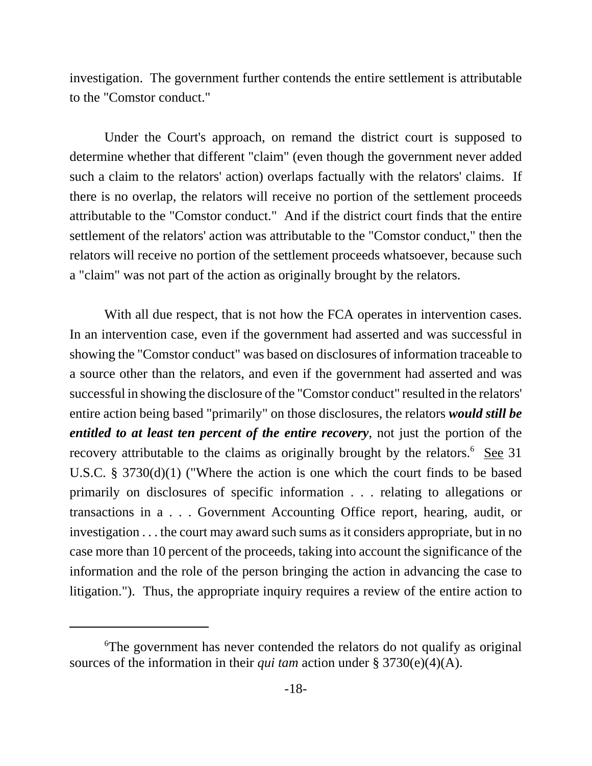investigation. The government further contends the entire settlement is attributable to the "Comstor conduct."

Under the Court's approach, on remand the district court is supposed to determine whether that different "claim" (even though the government never added such a claim to the relators' action) overlaps factually with the relators' claims. If there is no overlap, the relators will receive no portion of the settlement proceeds attributable to the "Comstor conduct." And if the district court finds that the entire settlement of the relators' action was attributable to the "Comstor conduct," then the relators will receive no portion of the settlement proceeds whatsoever, because such a "claim" was not part of the action as originally brought by the relators.

With all due respect, that is not how the FCA operates in intervention cases. In an intervention case, even if the government had asserted and was successful in showing the "Comstor conduct" was based on disclosures of information traceable to a source other than the relators, and even if the government had asserted and was successful in showing the disclosure of the "Comstor conduct" resulted in the relators' entire action being based "primarily" on those disclosures, the relators *would still be entitled to at least ten percent of the entire recovery*, not just the portion of the recovery attributable to the claims as originally brought by the relators.<sup>6</sup> See 31 U.S.C. § 3730(d)(1) ("Where the action is one which the court finds to be based primarily on disclosures of specific information . . . relating to allegations or transactions in a . . . Government Accounting Office report, hearing, audit, or investigation . . . the court may award such sums as it considers appropriate, but in no case more than 10 percent of the proceeds, taking into account the significance of the information and the role of the person bringing the action in advancing the case to litigation."). Thus, the appropriate inquiry requires a review of the entire action to

<sup>6</sup> The government has never contended the relators do not qualify as original sources of the information in their *qui tam* action under § 3730(e)(4)(A).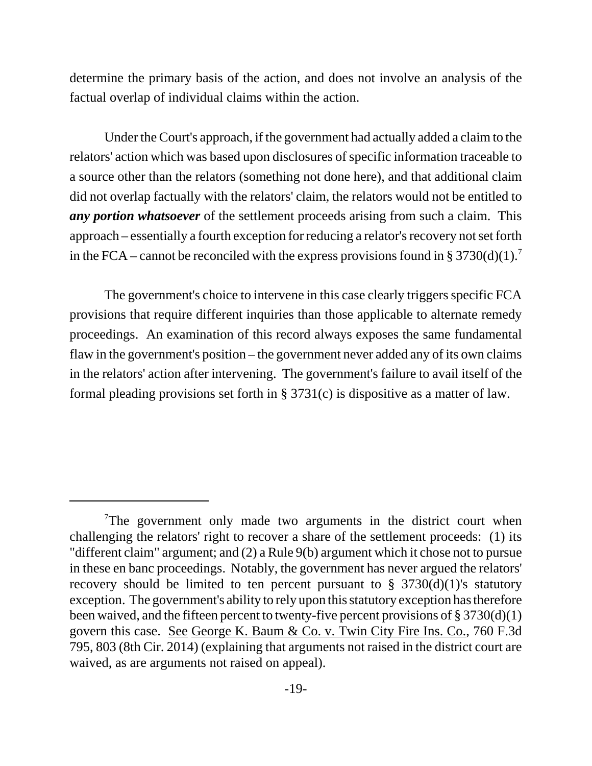determine the primary basis of the action, and does not involve an analysis of the factual overlap of individual claims within the action.

Under the Court's approach, if the government had actually added a claim to the relators' action which was based upon disclosures of specific information traceable to a source other than the relators (something not done here), and that additional claim did not overlap factually with the relators' claim, the relators would not be entitled to *any portion whatsoever* of the settlement proceeds arising from such a claim. This approach – essentially a fourth exception for reducing a relator's recovery not set forth in the FCA – cannot be reconciled with the express provisions found in § 3730(d)(1).<sup>7</sup>

The government's choice to intervene in this case clearly triggers specific FCA provisions that require different inquiries than those applicable to alternate remedy proceedings. An examination of this record always exposes the same fundamental flaw in the government's position – the government never added any of its own claims in the relators' action after intervening. The government's failure to avail itself of the formal pleading provisions set forth in § 3731(c) is dispositive as a matter of law.

 $7$ The government only made two arguments in the district court when challenging the relators' right to recover a share of the settlement proceeds: (1) its "different claim" argument; and (2) a Rule 9(b) argument which it chose not to pursue in these en banc proceedings. Notably, the government has never argued the relators' recovery should be limited to ten percent pursuant to  $\S$  3730(d)(1)'s statutory exception. The government's ability to rely upon this statutory exception has therefore been waived, and the fifteen percent to twenty-five percent provisions of § 3730(d)(1) govern this case. See George K. Baum & Co. v. Twin City Fire Ins. Co., 760 F.3d 795, 803 (8th Cir. 2014) (explaining that arguments not raised in the district court are waived, as are arguments not raised on appeal).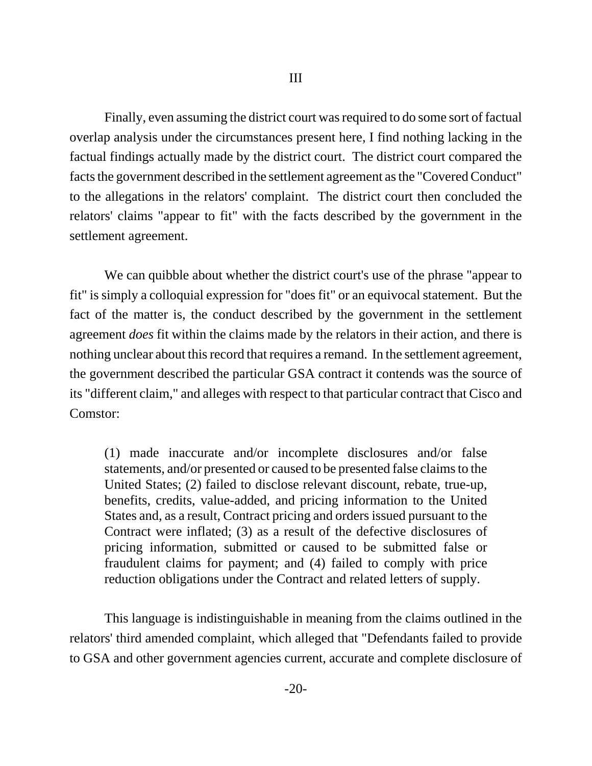Finally, even assuming the district court was required to do some sort of factual overlap analysis under the circumstances present here, I find nothing lacking in the factual findings actually made by the district court. The district court compared the facts the government described in the settlement agreement as the "Covered Conduct" to the allegations in the relators' complaint. The district court then concluded the relators' claims "appear to fit" with the facts described by the government in the settlement agreement.

We can quibble about whether the district court's use of the phrase "appear to fit" is simply a colloquial expression for "does fit" or an equivocal statement. But the fact of the matter is, the conduct described by the government in the settlement agreement *does* fit within the claims made by the relators in their action, and there is nothing unclear about this record that requires a remand. In the settlement agreement, the government described the particular GSA contract it contends was the source of its "different claim," and alleges with respect to that particular contract that Cisco and Comstor:

(1) made inaccurate and/or incomplete disclosures and/or false statements, and/or presented or caused to be presented false claims to the United States; (2) failed to disclose relevant discount, rebate, true-up, benefits, credits, value-added, and pricing information to the United States and, as a result, Contract pricing and orders issued pursuant to the Contract were inflated; (3) as a result of the defective disclosures of pricing information, submitted or caused to be submitted false or fraudulent claims for payment; and (4) failed to comply with price reduction obligations under the Contract and related letters of supply.

This language is indistinguishable in meaning from the claims outlined in the relators' third amended complaint, which alleged that "Defendants failed to provide to GSA and other government agencies current, accurate and complete disclosure of